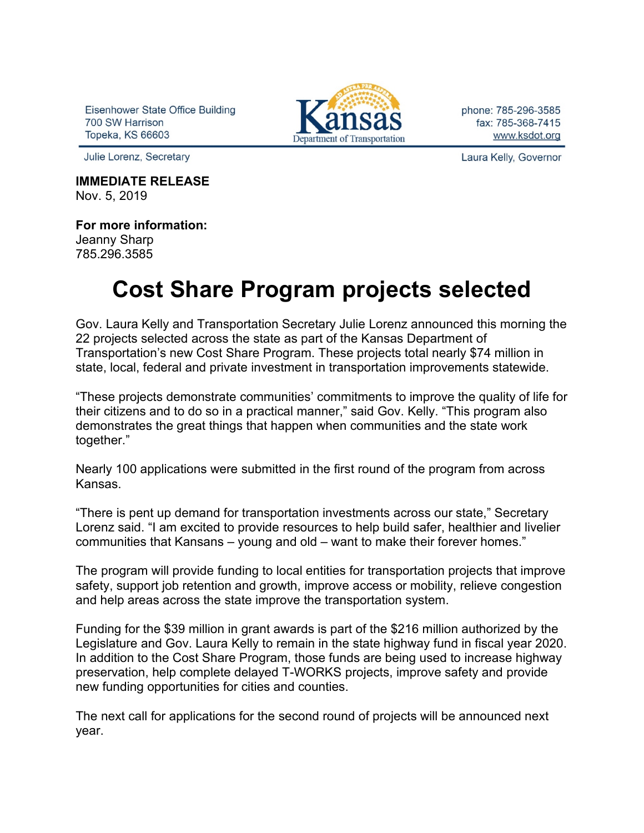Eisenhower State Office Building 700 SW Harrison **Topeka, KS 66603** 



phone: 785-296-3585 fax: 785-368-7415 www.ksdot.org

Julie Lorenz, Secretary

**IMMEDIATE RELEASE** Nov. 5, 2019

**For more information:** Jeanny Sharp

785.296.3585

## **Cost Share Program projects selected**

Gov. Laura Kelly and Transportation Secretary Julie Lorenz announced this morning the 22 projects selected across the state as part of the Kansas Department of Transportation's new Cost Share Program. These projects total nearly \$74 million in state, local, federal and private investment in transportation improvements statewide.

"These projects demonstrate communities' commitments to improve the quality of life for their citizens and to do so in a practical manner," said Gov. Kelly. "This program also demonstrates the great things that happen when communities and the state work together."

Nearly 100 applications were submitted in the first round of the program from across Kansas.

"There is pent up demand for transportation investments across our state," Secretary Lorenz said. "I am excited to provide resources to help build safer, healthier and livelier communities that Kansans – young and old – want to make their forever homes."

The program will provide funding to local entities for transportation projects that improve safety, support job retention and growth, improve access or mobility, relieve congestion and help areas across the state improve the transportation system.

Funding for the \$39 million in grant awards is part of the \$216 million authorized by the Legislature and Gov. Laura Kelly to remain in the state highway fund in fiscal year 2020. In addition to the Cost Share Program, those funds are being used to increase highway preservation, help complete delayed T-WORKS projects, improve safety and provide new funding opportunities for cities and counties.

The next call for applications for the second round of projects will be announced next year.

Laura Kelly, Governor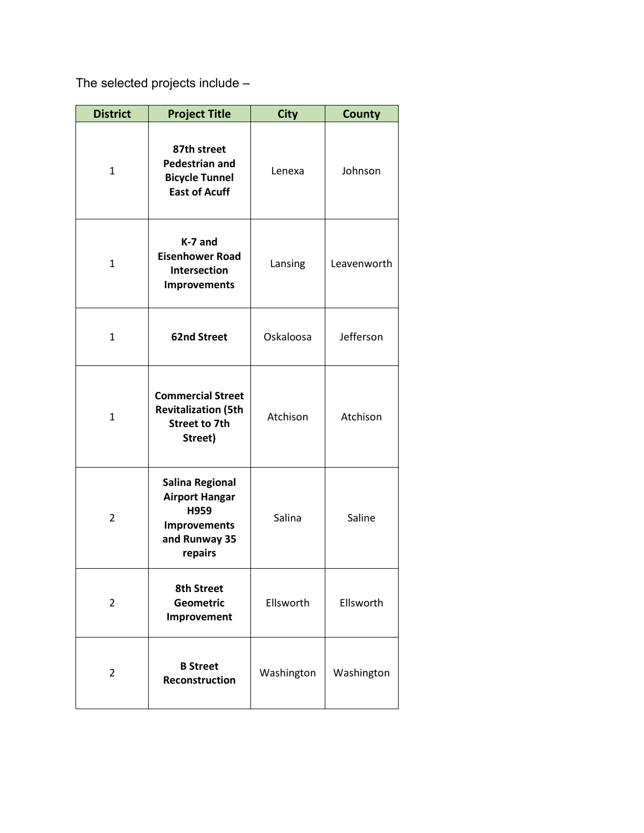The selected projects include –

| <b>District</b> | <b>Project Title</b>                                                                                       | <b>City</b> | <b>County</b> |
|-----------------|------------------------------------------------------------------------------------------------------------|-------------|---------------|
| $\mathbf{1}$    | 87th street<br><b>Pedestrian and</b><br><b>Bicycle Tunnel</b><br><b>East of Acuff</b>                      | Lenexa      | Johnson       |
| $\mathbf{1}$    | K-7 and<br><b>Eisenhower Road</b><br>Intersection<br><b>Improvements</b>                                   | Lansing     | Leavenworth   |
| $\mathbf{1}$    | <b>62nd Street</b>                                                                                         | Oskaloosa   | Jefferson     |
| $\mathbf{1}$    | <b>Commercial Street</b><br><b>Revitalization (5th</b><br><b>Street to 7th</b><br>Street)                  | Atchison    | Atchison      |
| $\overline{2}$  | <b>Salina Regional</b><br><b>Airport Hangar</b><br>H959<br><b>Improvements</b><br>and Runway 35<br>repairs | Salina      | Saline        |
| 2               | <b>8th Street</b><br><b>Geometric</b><br>Improvement                                                       | Ellsworth   | Ellsworth     |
| 2               | <b>B</b> Street<br>Reconstruction                                                                          | Washington  | Washington    |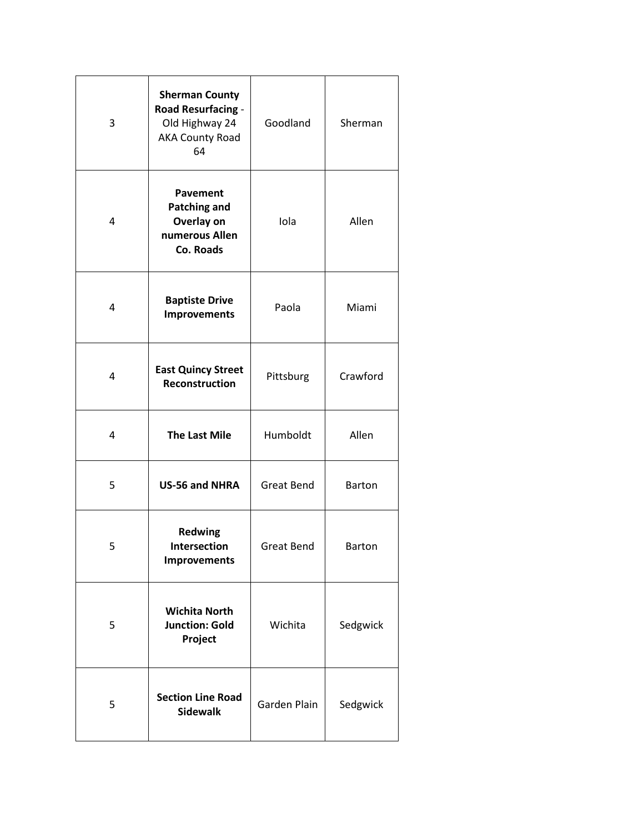| 3 | <b>Sherman County</b><br>Road Resurfacing -<br>Old Highway 24<br><b>AKA County Road</b><br>64 | Goodland          | Sherman       |
|---|-----------------------------------------------------------------------------------------------|-------------------|---------------|
| 4 | <b>Pavement</b><br><b>Patching and</b><br>Overlay on<br>numerous Allen<br>Co. Roads           | Iola              | Allen         |
| 4 | <b>Baptiste Drive</b><br><b>Improvements</b>                                                  | Paola             | Miami         |
| 4 | <b>East Quincy Street</b><br>Reconstruction                                                   | Pittsburg         | Crawford      |
| 4 | <b>The Last Mile</b>                                                                          | Humboldt          | Allen         |
| 5 | US-56 and NHRA                                                                                | <b>Great Bend</b> | <b>Barton</b> |
| 5 | <b>Redwing</b><br>Intersection<br><b>Improvements</b>                                         | <b>Great Bend</b> | Barton        |
| 5 | <b>Wichita North</b><br><b>Junction: Gold</b><br>Project                                      | Wichita           | Sedgwick      |
| 5 | <b>Section Line Road</b><br><b>Sidewalk</b>                                                   | Garden Plain      | Sedgwick      |